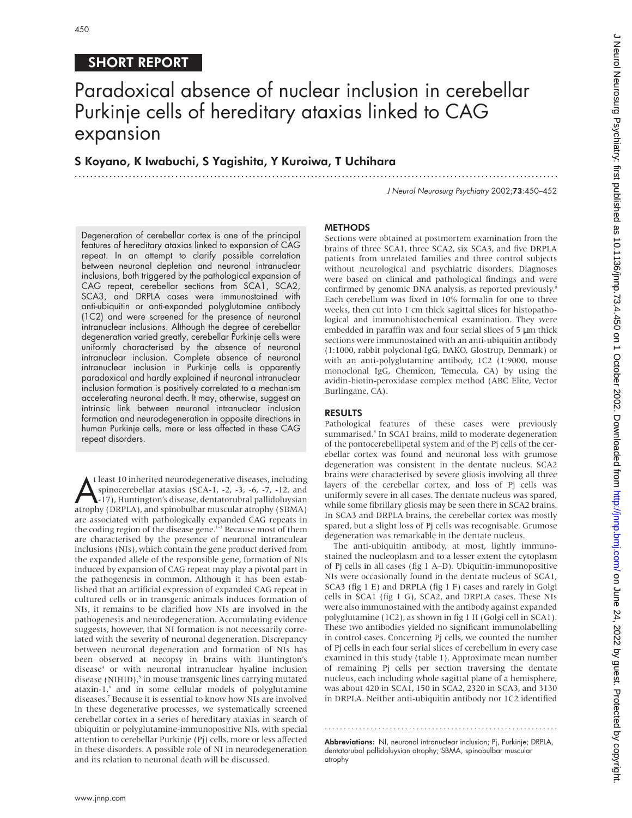# SHORT REPORT

# Paradoxical absence of nuclear inclusion in cerebellar Purkinje cells of hereditary ataxias linked to CAG expansion

.............................................................................................................................

## S Koyano, K Iwabuchi, S Yagishita, Y Kuroiwa, T Uchihara

J Neurol Neurosurg Psychiatry 2002;73:450–452

Degeneration of cerebellar cortex is one of the principal features of hereditary ataxias linked to expansion of CAG repeat. In an attempt to clarify possible correlation between neuronal depletion and neuronal intranuclear inclusions, both triggered by the pathological expansion of CAG repeat, cerebellar sections from SCA1, SCA2, SCA3, and DRPLA cases were immunostained with anti-ubiquitin or anti-expanded polyglutamine antibody (1C2) and were screened for the presence of neuronal intranuclear inclusions. Although the degree of cerebellar degeneration varied greatly, cerebellar Purkinje cells were uniformly characterised by the absence of neuronal intranuclear inclusion. Complete absence of neuronal intranuclear inclusion in Purkinje cells is apparently paradoxical and hardly explained if neuronal intranuclear inclusion formation is positively correlated to a mechanism accelerating neuronal death. It may, otherwise, suggest an intrinsic link between neuronal intranuclear inclusion formation and neurodegeneration in opposite directions in human Purkinje cells, more or less affected in these CAG repeat disorders.

t least 10 inherited neurodegenerative diseases, including<br>spinocerebellar ataxias (SCA-1, -2, -3, -6, -7, -12, and<br>17), Huntington's disease, dentatorubral pallidoluysian<br>atrophy (DRPLA), and spinobulbar muscular atrophy t least 10 inherited neurodegenerative diseases, including spinocerebellar ataxias (SCA-1, -2, -3, -6, -7, -12, and -17), Huntington's disease, dentatorubral pallidoluysian are associated with pathologically expanded CAG repeats in the coding region of the disease gene.<sup>1-3</sup> Because most of them are characterised by the presence of neuronal intranculear inclusions (NIs), which contain the gene product derived from the expanded allele of the responsible gene, formation of NIs induced by expansion of CAG repeat may play a pivotal part in the pathogenesis in common. Although it has been established that an artificial expression of expanded CAG repeat in cultured cells or in transgenic animals induces formation of NIs, it remains to be clarified how NIs are involved in the pathogenesis and neurodegeneration. Accumulating evidence suggests, however, that NI formation is not necessarily correlated with the severity of neuronal degeneration. Discrepancy between neuronal degeneration and formation of NIs has been observed at necopsy in brains with Huntington's disease<sup>4</sup> or with neuronal intranuclear hyaline inclusion disease (NIHID),<sup>5</sup> in mouse transgenic lines carrying mutated ataxin-1,6 and in some cellular models of polyglutamine diseases.7 Because it is essential to know how NIs are involved in these degenerative processes, we systematically screened cerebellar cortex in a series of hereditary ataxias in search of ubiquitin or polyglutamine-immunopositive NIs, with special attention to cerebellar Purkinje (Pj) cells, more or less affected in these disorders. A possible role of NI in neurodegeneration and its relation to neuronal death will be discussed.

## **METHODS**

Sections were obtained at postmortem examination from the brains of three SCA1, three SCA2, six SCA3, and five DRPLA patients from unrelated families and three control subjects without neurological and psychiatric disorders. Diagnoses were based on clinical and pathological findings and were confirmed by genomic DNA analysis, as reported previously.<sup>8</sup> Each cerebellum was fixed in 10% formalin for one to three weeks, then cut into 1 cm thick sagittal slices for histopathological and immunohistochemical examination. They were embedded in paraffin wax and four serial slices of 5  $\mu$ m thick sections were immunostained with an anti-ubiquitin antibody (1:1000, rabbit polyclonal IgG, DAKO, Glostrup, Denmark) or with an anti-polyglutamine antibody, 1C2 (1:9000, mouse monoclonal IgG, Chemicon, Temecula, CA) by using the avidin-biotin-peroxidase complex method (ABC Elite, Vector Burlingane, CA).

#### RESULTS

Pathological features of these cases were previously summarised.<sup>8</sup> In SCA1 brains, mild to moderate degeneration of the pontocerebellipetal system and of the Pj cells of the cerebellar cortex was found and neuronal loss with grumose degeneration was consistent in the dentate nucleus. SCA2 brains were characterised by severe gliosis involving all three layers of the cerebellar cortex, and loss of Pj cells was uniformly severe in all cases. The dentate nucleus was spared, while some fibrillary gliosis may be seen there in SCA2 brains. In SCA3 and DRPLA brains, the cerebellar cortex was mostly spared, but a slight loss of Pj cells was recognisable. Grumose degeneration was remarkable in the dentate nucleus.

The anti-ubiquitin antibody, at most, lightly immunostained the nucleoplasm and to a lesser extent the cytoplasm of Pj cells in all cases (fig 1 A–D). Ubiquitin-immunopositive NIs were occasionally found in the dentate nucleus of SCA1, SCA3 (fig 1 E) and DRPLA (fig 1 F) cases and rarely in Golgi cells in SCA1 (fig 1 G), SCA2, and DRPLA cases. These NIs were also immunostained with the antibody against expanded polyglutamine (1C2), as shown in fig 1 H (Golgi cell in SCA1). These two antibodies yielded no significant immunolabelling in control cases. Concerning Pj cells, we counted the number of Pj cells in each four serial slices of cerebellum in every case examined in this study (table 1). Approximate mean number of remaining Pj cells per section traversing the dentate nucleus, each including whole sagittal plane of a hemisphere, was about 420 in SCA1, 150 in SCA2, 2320 in SCA3, and 3130 in DRPLA. Neither anti-ubiquitin antibody nor 1C2 identified

Abbreviations: NI, neuronal intranuclear inclusion; Pj, Purkinje; DRPLA, dentatorubal pallidoluysian atrophy; SBMA, spinobulbar muscular atrophy

.............................................................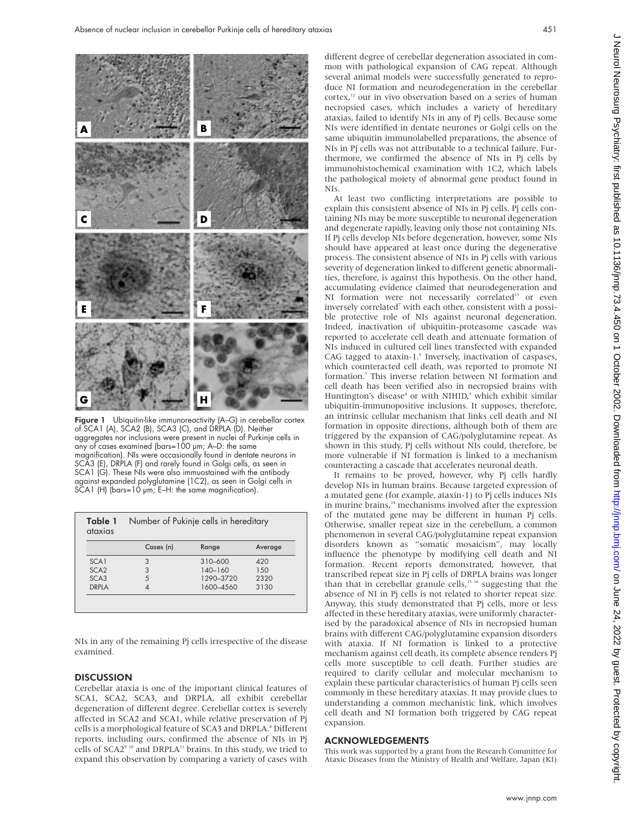

Figure 1 Ubiquitin-like immunoreactivity (A–G) in cerebellar cortex of SCA1 (A), SCA2 (B), SCA3 (C), and DRPLA (D). Neither aggregates nor inclusions were present in nuclei of Purkinje cells in any of cases examined (bars=100 µm; A–D: the same magnification). NIs were occasionally found in dentate neurons in SCA3 (E), DRPLA (F) and rarely found in Golgi cells, as seen in SCA1 (G). These NIs were also immuostained with the antibody against expanded polyglutamine (1C2), as seen in Golgi cells in SCA1 (H) (bars=10  $\mu$ m; E–H: the same magnification).

| Table 1<br>ataxias | Number of Pukinje cells in hereditary |             |         |
|--------------------|---------------------------------------|-------------|---------|
|                    | Cases (n)                             | Range       | Average |
| SCA1               | 3                                     | $310 - 600$ | 420     |
| SCA <sub>2</sub>   | 3                                     | $140 - 160$ | 150     |
| SCA <sub>3</sub>   | 5                                     | 1290-3720   | 2320    |
| <b>DRPLA</b>       |                                       | 1600-4560   | 3130    |

NIs in any of the remaining Pj cells irrespective of the disease examined.

### **DISCUSSION**

Cerebellar ataxia is one of the important clinical features of SCA1, SCA2, SCA3, and DRPLA, all exhibit cerebellar degeneration of different degree. Cerebellar cortex is severely affected in SCA2 and SCA1, while relative preservation of Pj cells is a morphological feature of SCA3 and DRPLA.<sup>8</sup> Different reports, including ours, confirmed the absence of NIs in Pj cells of SCA2<sup>9 10</sup> and DRPLA<sup>11</sup> brains. In this study, we tried to expand this observation by comparing a variety of cases with

different degree of cerebellar degeneration associated in common with pathological expansion of CAG repeat. Although several animal models were successfully generated to reproduce NI formation and neurodegeneration in the cerebellar cortex,<sup>12</sup> our in vivo observation based on a series of human necropsied cases, which includes a variety of hereditary ataxias, failed to identify NIs in any of Pj cells. Because some NIs were identified in dentate neurones or Golgi cells on the same ubiquitin immunolabelled preparations, the absence of NIs in Pj cells was not attributable to a technical failure. Furthermore, we confirmed the absence of NIs in Pj cells by immunohistochemical examination with 1C2, which labels the pathological moiety of abnormal gene product found in NIs.

At least two conflicting interpretations are possible to explain this consistent absence of NIs in Pj cells. Pj cells containing NIs may be more susceptible to neuronal degeneration and degenerate rapidly, leaving only those not containing NIs. If Pj cells develop NIs before degeneration, however, some NIs should have appeared at least once during the degenerative process. The consistent absence of NIs in Pj cells with various severity of degeneration linked to different genetic abnormalities, therefore, is against this hypothesis. On the other hand, accumulating evidence claimed that neurodegeneration and NI formation were not necessarily correlated<sup>13</sup> or even inversely correlated<sup>7</sup> with each other, consistent with a possible protective role of NIs against neuronal degeneration. Indeed, inactivation of ubiquitin-proteasome cascade was reported to accelerate cell death and attenuate formation of NIs induced in cultured cell lines transfected with expanded CAG tagged to ataxin-1.<sup>6</sup> Inversely, inactivation of caspases, which counteracted cell death, was reported to promote NI formation.7 This inverse relation between NI formation and cell death has been verified also in necropsied brains with Huntington's disease<sup>4</sup> or with NIHID,<sup>5</sup> which exhibit similar ubiquitin-immunopositive inclusions. It supposes, therefore, an intrinsic cellular mechanism that links cell death and NI formation in opposite directions, although both of them are triggered by the expansion of CAG/polyglutamine repeat. As shown in this study, Pj cells without NIs could, therefore, be more vulnerable if NI formation is linked to a mechanism counteracting a cascade that accelerates neuronal death.

It remains to be proved, however, why Pj cells hardly develop NIs in human brains. Because targeted expression of a mutated gene (for example, ataxin-1) to Pj cells induces NIs in murine brains,<sup>14</sup> mechanisms involved after the expression of the mutated gene may be different in human Pj cells. Otherwise, smaller repeat size in the cerebellum, a common phenomenon in several CAG/polyglutamine repeat expansion disorders known as "somatic mosaicism", may locally influence the phenotype by modifying cell death and NI formation. Recent reports demonstrated, however, that transcribed repeat size in Pj cells of DRPLA brains was longer than that in cerebellar granule cells,<sup>15 16</sup> suggesting that the absence of NI in Pj cells is not related to shorter repeat size. Anyway, this study demonstrated that Pj cells, more or less affected in these hereditary ataxias, were uniformly characterised by the paradoxical absence of NIs in necropsied human brains with different CAG/polyglutamine expansion disorders with ataxia. If NI formation is linked to a protective mechanism against cell death, its complete absence renders Pj cells more susceptible to cell death. Further studies are required to clarify cellular and molecular mechanism to explain these particular characteristics of human Pj cells seen commonly in these hereditary ataxias. It may provide clues to understanding a common mechanistic link, which involves cell death and NI formation both triggered by CAG repeat expansion.

### ACKNOWLEDGEMENTS

This work was supported by a grant from the Research Committee for Ataxic Diseases from the Ministry of Health and Welfare, Japan (KI)